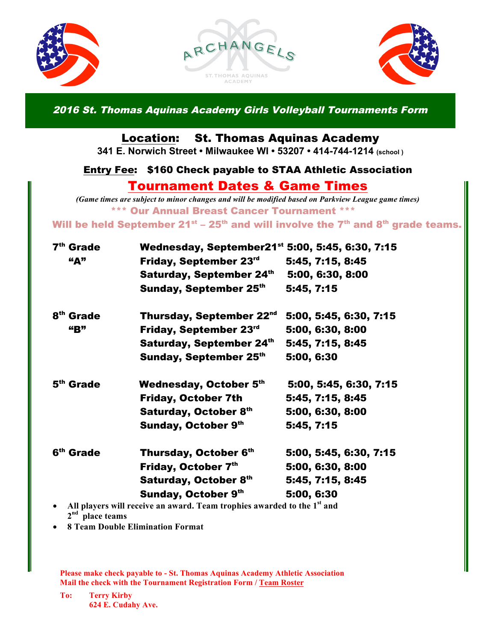





2016 St. Thomas Aquinas Academy Girls Volleyball Tournaments Form

### Location: St. Thomas Aquinas Academy

**341 E. Norwich Street • Milwaukee WI • 53207 • 414-744-1214 (school )**

#### Entry Fee: \$160 Check payable to STAA Athletic Association

# Tournament Dates & Game Times

*(Game times are subject to minor changes and will be modified based on Parkview League game times)* \*\*\* Our Annual Breast Cancer Tournament \*\*\*

### Will be held September  $21^{st}$  –  $25^{th}$  and will involve the  $7^{th}$  and  $8^{th}$  grade teams.

| 7 <sup>th</sup> Grade | Wednesday, September21 <sup>st</sup> 5:00, 5:45, 6:30, 7:15                         |                        |
|-----------------------|-------------------------------------------------------------------------------------|------------------------|
| 4A                    | Friday, September 23rd                                                              | 5:45, 7:15, 8:45       |
|                       | Saturday, September 24th                                                            | 5:00, 6:30, 8:00       |
|                       | Sunday, September 25th                                                              | 5:45, 7:15             |
| 8 <sup>th</sup> Grade | Thursday, September 22nd                                                            | 5:00, 5:45, 6:30, 7:15 |
| <b>"B"</b>            | Friday, September 23 <sup>rd</sup>                                                  | 5:00, 6:30, 8:00       |
|                       | Saturday, September 24th                                                            | 5:45, 7:15, 8:45       |
|                       | Sunday, September 25th                                                              | 5:00, 6:30             |
| 5 <sup>th</sup> Grade | Wednesday, October 5th                                                              | 5:00, 5:45, 6:30, 7:15 |
|                       | <b>Friday, October 7th</b>                                                          | 5:45, 7:15, 8:45       |
|                       | Saturday, October 8th                                                               | 5:00, 6:30, 8:00       |
|                       | Sunday, October 9th                                                                 | 5:45, 7:15             |
| 6 <sup>th</sup> Grade | Thursday, October 6th                                                               | 5:00, 5:45, 6:30, 7:15 |
|                       | Friday, October 7th                                                                 | 5:00, 6:30, 8:00       |
|                       | Saturday, October 8th                                                               | 5:45, 7:15, 8:45       |
|                       | <b>Sunday, October 9th</b>                                                          | 5:00, 6:30             |
|                       | All players will receive an award. Team trophies awarded to the 1 <sup>st</sup> and |                        |

**2nd place teams**

• **8 Team Double Elimination Format**

• **Concessions Available Please make check payable to - St. Thomas Aquinas Academy Athletic Association Mail the check with the Tournament Registration Form / Team Roster**

**To: Terry Kirby 624 E. Cudahy Ave.**